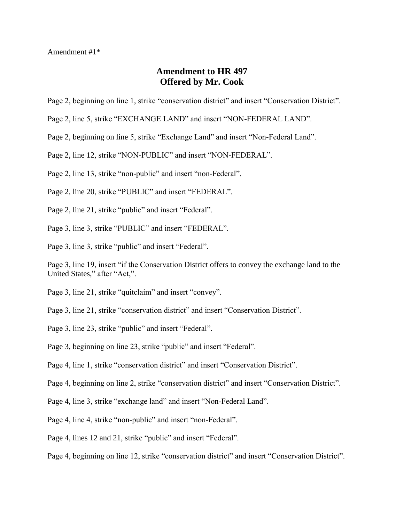Amendment #1\*

## **Amendment to HR 497 Offered by Mr. Cook**

- Page 2, beginning on line 1, strike "conservation district" and insert "Conservation District".
- Page 2, line 5, strike "EXCHANGE LAND" and insert "NON-FEDERAL LAND".
- Page 2, beginning on line 5, strike "Exchange Land" and insert "Non-Federal Land".
- Page 2, line 12, strike "NON-PUBLIC" and insert "NON-FEDERAL".

Page 2, line 13, strike "non-public" and insert "non-Federal".

- Page 2, line 20, strike "PUBLIC" and insert "FEDERAL".
- Page 2, line 21, strike "public" and insert "Federal".
- Page 3, line 3, strike "PUBLIC" and insert "FEDERAL".
- Page 3, line 3, strike "public" and insert "Federal".

Page 3, line 19, insert "if the Conservation District offers to convey the exchange land to the United States," after "Act,".

- Page 3, line 21, strike "quitclaim" and insert "convey".
- Page 3, line 21, strike "conservation district" and insert "Conservation District".
- Page 3, line 23, strike "public" and insert "Federal".

Page 3, beginning on line 23, strike "public" and insert "Federal".

- Page 4, line 1, strike "conservation district" and insert "Conservation District".
- Page 4, beginning on line 2, strike "conservation district" and insert "Conservation District".
- Page 4, line 3, strike "exchange land" and insert "Non-Federal Land".
- Page 4, line 4, strike "non-public" and insert "non-Federal".
- Page 4, lines 12 and 21, strike "public" and insert "Federal".
- Page 4, beginning on line 12, strike "conservation district" and insert "Conservation District".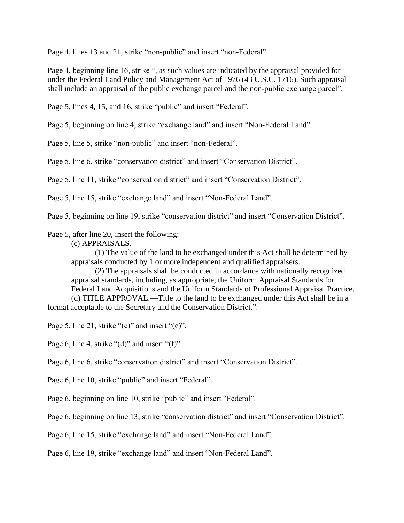Page 4, lines 13 and 21, strike "non-public" and insert "non-Federal".

Page 4, beginning line 16, strike ", as such values are indicated by the appraisal provided for under the Federal Land Policy and Management Act of 1976 (43 U.S.C. 1716). Such appraisal shall include an appraisal of the public exchange parcel and the non-public exchange parcel".

Page 5, lines 4, 15, and 16, strike "public" and insert "Federal".

Page 5, beginning on line 4, strike "exchange land" and insert "Non-Federal Land".

Page 5, line 5, strike "non-public" and insert "non-Federal".

Page 5, line 6, strike "conservation district" and insert "Conservation District".

Page 5, line 11, strike "conservation district" and insert "Conservation District".

Page 5, line 15, strike "exchange land" and insert "Non-Federal Land".

Page 5, beginning on line 19, strike "conservation district" and insert "Conservation District".

## Page 5, after line 20, insert the following:

(c) APPRAISALS.—

(1) The value of the land to be exchanged under this Act shall be determined by appraisals conducted by 1 or more independent and qualified appraisers.

(2) The appraisals shall be conducted in accordance with nationally recognized appraisal standards, including, as appropriate, the Uniform Appraisal Standards for Federal Land Acquisitions and the Uniform Standards of Professional Appraisal Practice. (d) TITLE APPROVAL.—Title to the land to be exchanged under this Act shall be in a format acceptable to the Secretary and the Conservation District.".

Page 5, line 21, strike "(c)" and insert "(e)".

Page 6, line 4, strike "(d)" and insert "(f)".

Page 6, line 6, strike "conservation district" and insert "Conservation District".

Page 6, line 10, strike "public" and insert "Federal".

Page 6, beginning on line 10, strike "public" and insert "Federal".

Page 6, beginning on line 13, strike "conservation district" and insert "Conservation District".

Page 6, line 15, strike "exchange land" and insert "Non-Federal Land".

Page 6, line 19, strike "exchange land" and insert "Non-Federal Land".